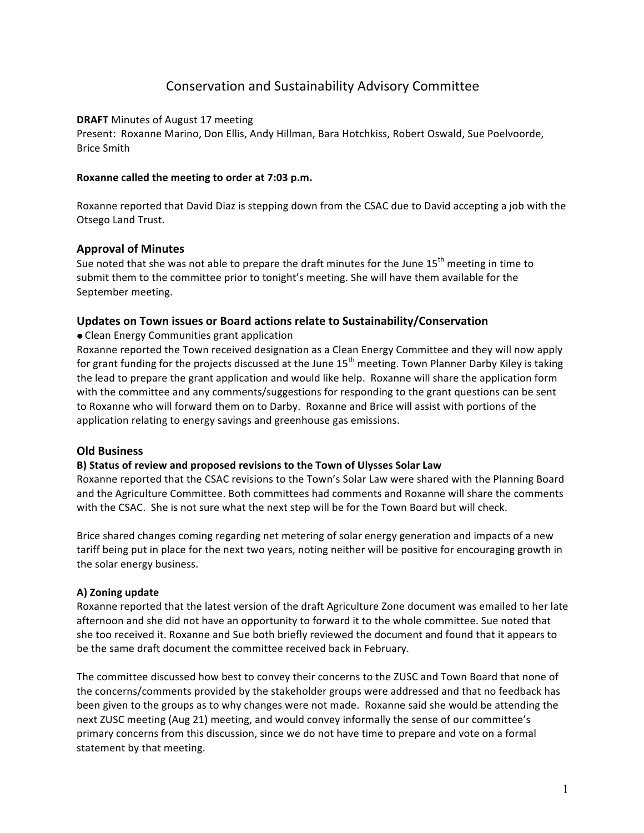# Conservation and Sustainability Advisory Committee

## **DRAFT** Minutes of August 17 meeting

Present: Roxanne Marino, Don Ellis, Andy Hillman, Bara Hotchkiss, Robert Oswald, Sue Poelvoorde, Brice Smith

## Roxanne called the meeting to order at 7:03 p.m.

Roxanne reported that David Diaz is stepping down from the CSAC due to David accepting a job with the Otsego Land Trust. 

## **Approval of Minutes**

Sue noted that she was not able to prepare the draft minutes for the June  $15<sup>th</sup>$  meeting in time to submit them to the committee prior to tonight's meeting. She will have them available for the September meeting.

## Updates on Town issues or Board actions relate to Sustainability/Conservation

• Clean Energy Communities grant application

Roxanne reported the Town received designation as a Clean Energy Committee and they will now apply for grant funding for the projects discussed at the June 15<sup>th</sup> meeting. Town Planner Darby Kiley is taking the lead to prepare the grant application and would like help. Roxanne will share the application form with the committee and any comments/suggestions for responding to the grant questions can be sent to Roxanne who will forward them on to Darby. Roxanne and Brice will assist with portions of the application relating to energy savings and greenhouse gas emissions.

## **Old Business**

#### **B) Status of review and proposed revisions to the Town of Ulysses Solar Law**

Roxanne reported that the CSAC revisions to the Town's Solar Law were shared with the Planning Board and the Agriculture Committee. Both committees had comments and Roxanne will share the comments with the CSAC. She is not sure what the next step will be for the Town Board but will check.

Brice shared changes coming regarding net metering of solar energy generation and impacts of a new tariff being put in place for the next two years, noting neither will be positive for encouraging growth in the solar energy business.

#### **A) Zoning update**

Roxanne reported that the latest version of the draft Agriculture Zone document was emailed to her late afternoon and she did not have an opportunity to forward it to the whole committee. Sue noted that she too received it. Roxanne and Sue both briefly reviewed the document and found that it appears to be the same draft document the committee received back in February.

The committee discussed how best to convey their concerns to the ZUSC and Town Board that none of the concerns/comments provided by the stakeholder groups were addressed and that no feedback has been given to the groups as to why changes were not made. Roxanne said she would be attending the next ZUSC meeting (Aug 21) meeting, and would convey informally the sense of our committee's primary concerns from this discussion, since we do not have time to prepare and vote on a formal statement by that meeting.